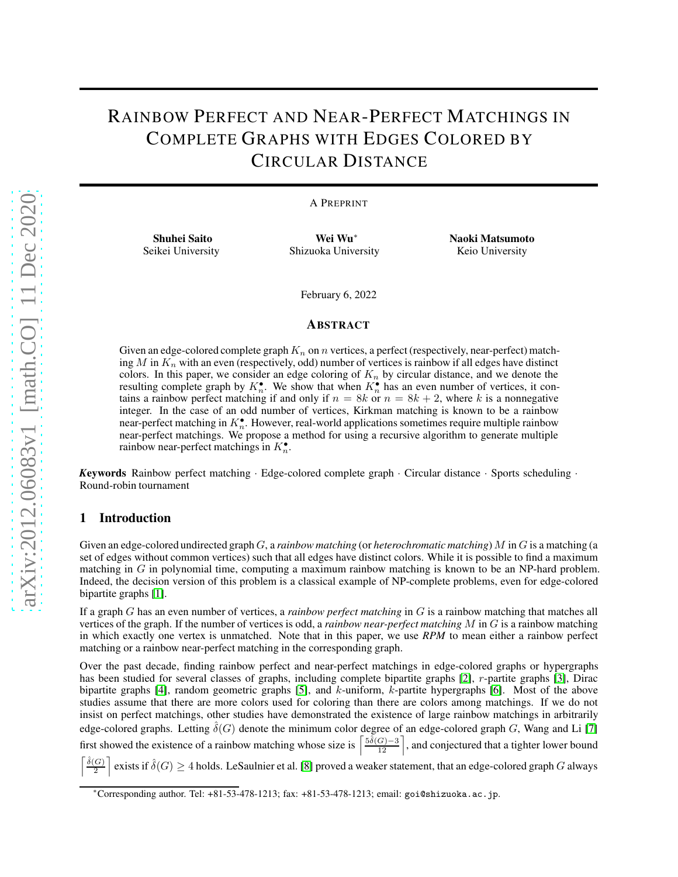# RAINBOW PERFECT AND NEAR-PERFECT MATCHINGS IN COMPLETE GRAPHS WITH EDGES COLORED BY CIRCULAR DISTANCE

A PREPRINT

Shuhei Saito Seikei University

Wei Wu<sup>∗</sup> Shizuoka University Naoki Matsumoto Keio University

February 6, 2022

#### **ABSTRACT**

Given an edge-colored complete graph  $K_n$  on n vertices, a perfect (respectively, near-perfect) matching M in  $K_n$  with an even (respectively, odd) number of vertices is rainbow if all edges have distinct colors. In this paper, we consider an edge coloring of  $K_n$  by circular distance, and we denote the resulting complete graph by  $K_n^{\bullet}$ . We show that when  $K_n^{\bullet}$  has an even number of vertices, it contains a rainbow perfect matching if and only if  $n = 8k$  or  $n = 8k + 2$ , where k is a nonnegative integer. In the case of an odd number of vertices, Kirkman matching is known to be a rainbow near-perfect matching in  $K_n^{\bullet}$ . However, real-world applications sometimes require multiple rainbow near-perfect matchings. We propose a method for using a recursive algorithm to generate multiple rainbow near-perfect matchings in  $K_n^{\bullet}$ .

*K*eywords Rainbow perfect matching · Edge-colored complete graph · Circular distance · Sports scheduling · Round-robin tournament

## 1 Introduction

l

Given an edge-colored undirected graph G, a *rainbow matching* (or *heterochromatic matching*) M in G is a matching (a set of edges without common vertices) such that all edges have distinct colors. While it is possible to find a maximum matching in G in polynomial time, computing a maximum rainbow matching is known to be an NP-hard problem. Indeed, the decision version of this problem is a classical example of NP-complete problems, even for edge-colored bipartite graphs [\[1\]](#page-9-0).

If a graph G has an even number of vertices, a *rainbow perfect matching* in G is a rainbow matching that matches all vertices of the graph. If the number of vertices is odd, a *rainbow near-perfect matching* M in G is a rainbow matching in which exactly one vertex is unmatched. Note that in this paper, we use *RPM* to mean either a rainbow perfect matching or a rainbow near-perfect matching in the corresponding graph.

Over the past decade, finding rainbow perfect and near-perfect matchings in edge-colored graphs or hypergraphs has been studied for several classes of graphs, including complete bipartite graphs [\[2\]](#page-9-1), r-partite graphs [\[3\]](#page-9-2), Dirac bipartite graphs [\[4\]](#page-9-3), random geometric graphs [\[5\]](#page-9-4), and k-uniform, k-partite hypergraphs [\[6\]](#page-9-5). Most of the above studies assume that there are more colors used for coloring than there are colors among matchings. If we do not insist on perfect matchings, other studies have demonstrated the existence of large rainbow matchings in arbitrarily edge-colored graphs. Letting  $\delta(G)$  denote the minimum color degree of an edge-colored graph G, Wang and Li [\[7\]](#page-9-6) first showed the existence of a rainbow matching whose size is  $\left[\frac{5\hat{\delta}(G)-3}{12}\right]$ , and conjectured that a tighter lower bound

 $\hat{\delta}(G)$ 2 m exists if  $\delta(G) \geq 4$  holds. LeSaulnier et al. [\[8\]](#page-9-7) proved a weaker statement, that an edge-colored graph G always

<sup>∗</sup>Corresponding author. Tel: +81-53-478-1213; fax: +81-53-478-1213; email: goi@shizuoka.ac.jp.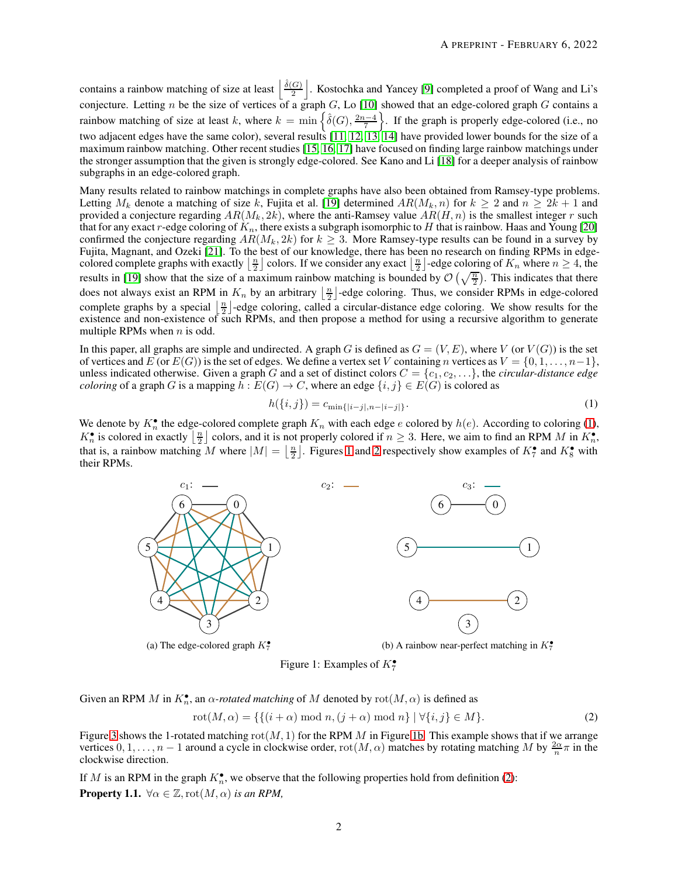contains a rainbow matching of size at least  $\frac{\hat{\delta}(G)}{2}$  $\frac{|G|}{2}$ . Kostochka and Yancey [\[9\]](#page-9-8) completed a proof of Wang and Li's conjecture. Letting n be the size of vertices of a graph G, Lo [\[10\]](#page-9-9) showed that an edge-colored graph G contains a rainbow matching of size at least k, where  $k = \min \left\{ \hat{\delta}(G), \frac{2n-4}{7} \right\}$ . If the graph is properly edge-colored (i.e., no two adjacent edges have the same color), several results [\[11,](#page-9-10) [12,](#page-9-11) [13,](#page-10-0) [14\]](#page-10-1) have provided lower bounds for the size of a maximum rainbow matching. Other recent studies [\[15,](#page-10-2) [16,](#page-10-3) [17\]](#page-10-4) have focused on finding large rainbow matchings under the stronger assumption that the given is strongly edge-colored. See Kano and Li [\[18\]](#page-10-5) for a deeper analysis of rainbow subgraphs in an edge-colored graph.

Many results related to rainbow matchings in complete graphs have also been obtained from Ramsey-type problems. Letting  $M_k$  denote a matching of size k, Fujita et al. [\[19\]](#page-10-6) determined  $AR(M_k, n)$  for  $k \ge 2$  and  $n \ge 2k + 1$  and provided a conjecture regarding  $AR(M_k, 2k)$ , where the anti-Ramsey value  $AR(H, n)$  is the smallest integer r such that for any exact r-edge coloring of  $K_n$ , there exists a subgraph isomorphic to H that is rainbow. Haas and Young [\[20\]](#page-10-7) confirmed the conjecture regarding  $AR(M_k, 2k)$  for  $k \geq 3$ . More Ramsey-type results can be found in a survey by Fujita, Magnant, and Ozeki [\[21\]](#page-10-8). To the best of our knowledge, there has been no research on finding RPMs in edgecolored complete graphs with exactly  $\lfloor \frac{n}{2} \rfloor$  colors. If we consider any exact  $\lfloor \frac{n}{2} \rfloor$ -edge coloring of  $K_n$  where  $n \ge 4$ , the results in [\[19\]](#page-10-6) show that the size of a maximum rainbow matching is bounded by  $\mathcal{O}\left(\sqrt{\frac{n}{2}}\right)$ . This indicates that there does not always exist an RPM in  $K_n$  by an arbitrary  $\lfloor \frac{n}{2} \rfloor$ -edge coloring. Thus, we consider RPMs in edge-colored complete graphs by a special  $\lfloor \frac{n}{2} \rfloor$ -edge coloring, called a circular-distance edge coloring. We show results for the existence and non-existence of such RPMs, and then propose a method for using a recursive algorithm to generate multiple RPMs when  $n$  is odd.

In this paper, all graphs are simple and undirected. A graph G is defined as  $G = (V, E)$ , where V (or  $V(G)$ ) is the set of vertices and E (or  $E(G)$ ) is the set of edges. We define a vertex set V containing n vertices as  $V = \{0, 1, \ldots, n-1\}$ , unless indicated otherwise. Given a graph G and a set of distinct colors  $C = \{c_1, c_2, \ldots\}$ , the *circular-distance edge coloring* of a graph G is a mapping  $h : E(G) \to C$ , where an edge  $\{i, j\} \in E(G)$  is colored as

$$
h(\{i,j\}) = c_{\min\{|i-j|, n-|i-j|\}}.\tag{1}
$$

<span id="page-1-1"></span>We denote by  $K_n^{\bullet}$  the edge-colored complete graph  $K_n$  with each edge e colored by  $h(e)$ . According to coloring [\(1\)](#page-1-0),  $K_n^{\bullet}$  is colored in exactly  $\lfloor \frac{n}{2} \rfloor$  colors, and it is not properly colored if  $n \geq 3$ . Here, we aim to find an RPM M in  $K_n^{\bullet}$ , that is, a rainbow matching M where  $|M| = \left\lfloor \frac{n}{2} \right\rfloor$ . Figures [1](#page-1-1) and [2](#page-2-0) respectively show examples of  $K_7^{\bullet}$  and  $K_8^{\bullet}$  with their RPMs.



(a) The edge-colored graph  $K_7^{\bullet}$ 



<span id="page-1-2"></span><span id="page-1-0"></span>(b) A rainbow near-perfect matching in  $K_7^{\bullet}$ 

Figure 1: Examples of  $K_7^{\bullet}$ 

Given an RPM M in  $K_n^{\bullet}$ , an  $\alpha$ -rotated matching of M denoted by  $\text{rot}(M, \alpha)$  is defined as

$$
rot(M, \alpha) = \{ \{ (i + \alpha) \bmod n, (j + \alpha) \bmod n \} \mid \forall \{ i, j \} \in M \}.
$$
 (2)

Figure [3](#page-2-1) shows the 1-rotated matching  $rot(M, 1)$  for the RPM M in Figure [1b.](#page-1-1) This example shows that if we arrange vertices  $0, 1, \ldots, n-1$  around a cycle in clockwise order,  $rot(M, \alpha)$  matches by rotating matching M by  $\frac{2\alpha}{n}\pi$  in the clockwise direction.

<span id="page-1-3"></span>If M is an RPM in the graph  $K_n^{\bullet}$ , we observe that the following properties hold from definition [\(2\)](#page-1-2): **Property 1.1.**  $\forall \alpha \in \mathbb{Z}$ ,  $\mathrm{rot}(M, \alpha)$  *is an RPM*,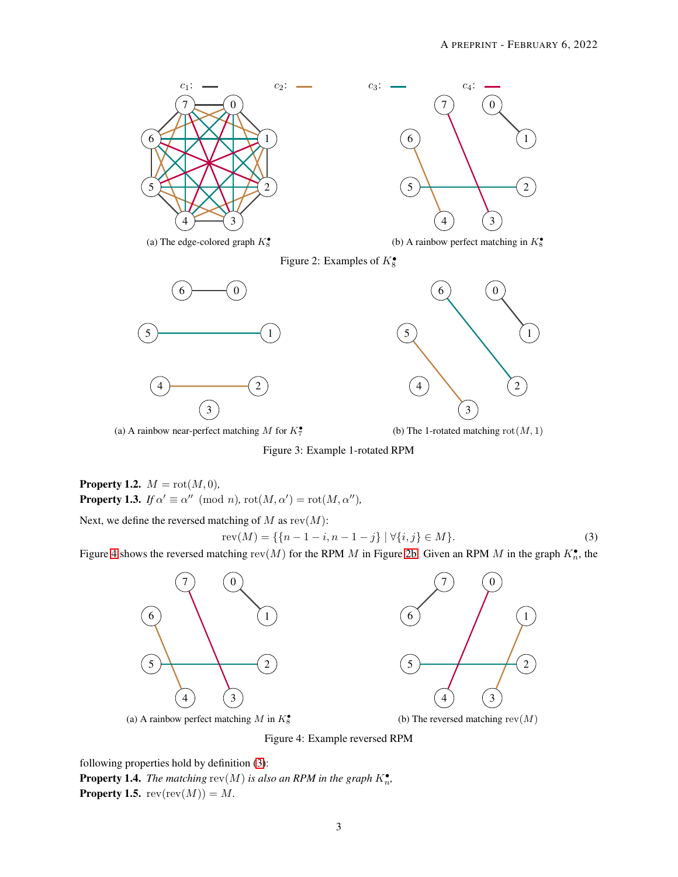<span id="page-2-0"></span>

(a) The edge-colored graph  $K_8^{\bullet}$ 

<span id="page-2-1"></span>



(b) A rainbow perfect matching in  $K_8^{\bullet}$ 

Figure 2: Examples of  $K_8^{\bullet}$ 



(a) A rainbow near-perfect matching M for  $K_7^{\bullet}$ 

(b) The 1-rotated matching  $rot(M, 1)$ 

Figure 3: Example 1-rotated RPM

**Property 1.2.**  $M = \text{rot}(M, 0)$ *,* **Property 1.3.** *If*  $\alpha' \equiv \alpha'' \pmod{n}$ ,  $\text{rot}(M, \alpha') = \text{rot}(M, \alpha'')$ ,

Next, we define the reversed matching of  $M$  as  $rev(M)$ :

$$
rev(M) = \{ \{n-1-i, n-1-j\} \mid \forall \{i,j\} \in M \}.
$$
\n(3)

<span id="page-2-2"></span>Figure [4](#page-2-2) shows the reversed matching  $rev(M)$  for the RPM M in Figure [2b.](#page-2-0) Given an RPM M in the graph  $K_n^{\bullet}$ , the



(a) A rainbow perfect matching  $M$  in  $K_8^{\bullet}$ 

<span id="page-2-3"></span> $\Omega$   $4) (3)$  

(b) The reversed matching  $rev(M)$ 

Figure 4: Example reversed RPM

<span id="page-2-4"></span>following properties hold by definition [\(3\)](#page-2-3): **Property 1.4.** The matching  $rev(M)$  is also an RPM in the graph  $K_n^{\bullet}$ , **Property 1.5.**  $rev(rev(M)) = M$ .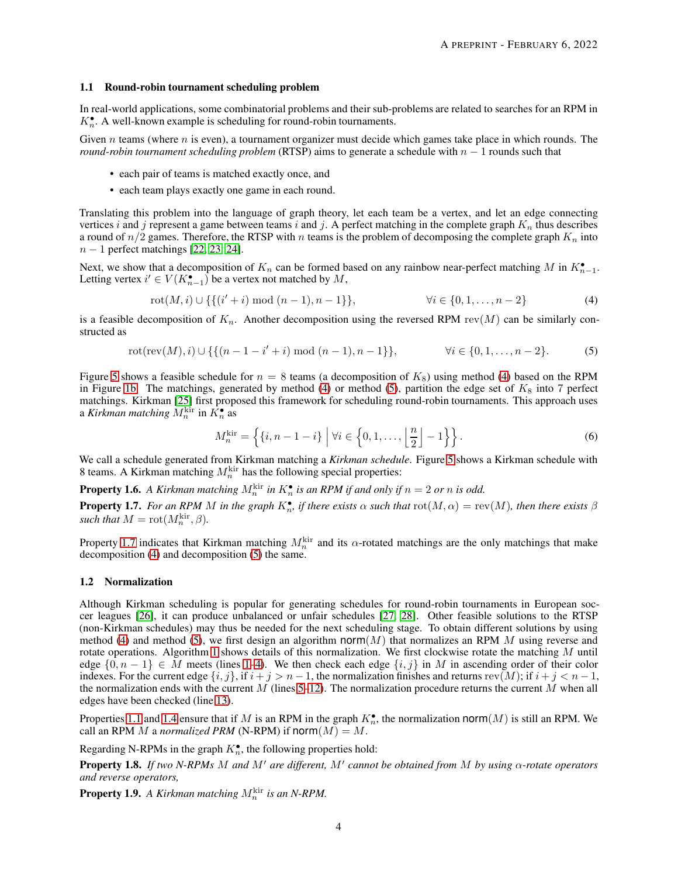#### 1.1 Round-robin tournament scheduling problem

In real-world applications, some combinatorial problems and their sub-problems are related to searches for an RPM in  $K_n^{\bullet}$ . A well-known example is scheduling for round-robin tournaments.

Given n teams (where n is even), a tournament organizer must decide which games take place in which rounds. The *round-robin tournament scheduling problem* (RTSP) aims to generate a schedule with  $n - 1$  rounds such that

- each pair of teams is matched exactly once, and
- each team plays exactly one game in each round.

Translating this problem into the language of graph theory, let each team be a vertex, and let an edge connecting vertices i and j represent a game between teams i and j. A perfect matching in the complete graph  $K_n$  thus describes a round of  $n/2$  games. Therefore, the RTSP with n teams is the problem of decomposing the complete graph  $K_n$  into  $n-1$  perfect matchings [\[22,](#page-10-9) [23,](#page-10-10) [24\]](#page-10-11).

Next, we show that a decomposition of  $K_n$  can be formed based on any rainbow near-perfect matching M in  $K_{n-1}^{\bullet}$ . Letting vertex  $i' \in V(K_{n-1}^{\bullet})$  be a vertex not matched by  $M$ ,

$$
rot(M, i) \cup \{ \{ (i'+i) \bmod (n-1), n-1 \} \}, \qquad \forall i \in \{0, 1, \dots, n-2 \}
$$
 (4)

is a feasible decomposition of  $K_n$ . Another decomposition using the reversed RPM rev(M) can be similarly constructed as

$$
rot(rev(M), i) \cup \{ \{ (n-1-i'+i) \bmod (n-1), n-1 \} \}, \qquad \forall i \in \{0, 1, \dots, n-2 \}.
$$
 (5)

Figure [5](#page-11-0) shows a feasible schedule for  $n = 8$  teams (a decomposition of  $K_8$ ) using method [\(4\)](#page-3-0) based on the RPM in Figure [1b.](#page-1-1) The matchings, generated by method [\(4\)](#page-3-0) or method [\(5\)](#page-3-1), partition the edge set of  $K_8$  into 7 perfect matchings. Kirkman [\[25\]](#page-10-12) first proposed this framework for scheduling round-robin tournaments. This approach uses a *Kirkman matching*  $M_n^{\text{kir}}$  in  $\hat{K_n^{\bullet}}$  as

<span id="page-3-1"></span><span id="page-3-0"></span>
$$
M_n^{\text{kir}} = \left\{ \{i, n-1-i\} \mid \forall i \in \left\{0, 1, \dots, \left\lfloor \frac{n}{2} \right\rfloor - 1 \right\} \right\}.
$$
 (6)

We call a schedule generated from Kirkman matching a *Kirkman schedule*. Figure [5](#page-11-0) shows a Kirkman schedule with 8 teams. A Kirkman matching  $M_n^{\text{kir}}$  has the following special properties:

<span id="page-3-3"></span>**Property 1.6.** A Kirkman matching  $M_n^{\text{kir}}$  in  $K_n^{\bullet}$  is an RPM if and only if  $n = 2$  or n is odd.

<span id="page-3-2"></span>**Property 1.7.** For an RPM M in the graph  $K_n^{\bullet}$ , if there exists  $\alpha$  such that  $\text{rot}(M,\alpha) = \text{rev}(M)$ , then there exists  $\beta$ *such that*  $M = \text{rot}(M_n^{\text{kir}}, \beta)$ *.* 

Property [1.7](#page-3-2) indicates that Kirkman matching  $M_n^{\text{kir}}$  and its  $\alpha$ -rotated matchings are the only matchings that make decomposition [\(4\)](#page-3-0) and decomposition [\(5\)](#page-3-1) the same.

#### 1.2 Normalization

Although Kirkman scheduling is popular for generating schedules for round-robin tournaments in European soccer leagues [\[26\]](#page-10-13), it can produce unbalanced or unfair schedules [\[27,](#page-10-14) [28\]](#page-10-15). Other feasible solutions to the RTSP (non-Kirkman schedules) may thus be needed for the next scheduling stage. To obtain different solutions by using method [\(4\)](#page-3-0) and method [\(5\)](#page-3-1), we first design an algorithm norm $(M)$  that normalizes an RPM M using reverse and rotate operations. Algorithm [1](#page-4-0) shows details of this normalization. We first clockwise rotate the matching  $M$  until edge  $\{0, n-1\} \in M$  meets (lines [1–](#page-4-1)[4\)](#page-4-2). We then check each edge  $\{i, j\}$  in M in ascending order of their color indexes. For the current edge  $\{i, j\}$ , if  $i + j > n - 1$ , the normalization finishes and returns rev $(M)$ ; if  $i + j < n - 1$ , the normalization ends with the current  $M$  (lines [5](#page-4-3)[–12\)](#page-4-4). The normalization procedure returns the current  $M$  when all edges have been checked (line [13\)](#page-4-5).

Properties [1.1](#page-1-3) and [1.4](#page-2-4) ensure that if M is an RPM in the graph  $K_n^{\bullet}$ , the normalization norm $(M)$  is still an RPM. We call an RPM M a *normalized PRM* (N-RPM) if  $norm(M) = M$ .

Regarding N-RPMs in the graph  $K_n^{\bullet}$ , the following properties hold:

<span id="page-3-4"></span>Property 1.8. *If two N-RPMs* M *and* M′ *are different,* M′ *cannot be obtained from* M *by using* α*-rotate operators and reverse operators,*

**Property 1.9.** A Kirkman matching  $M_n^{\text{kir}}$  is an N-RPM.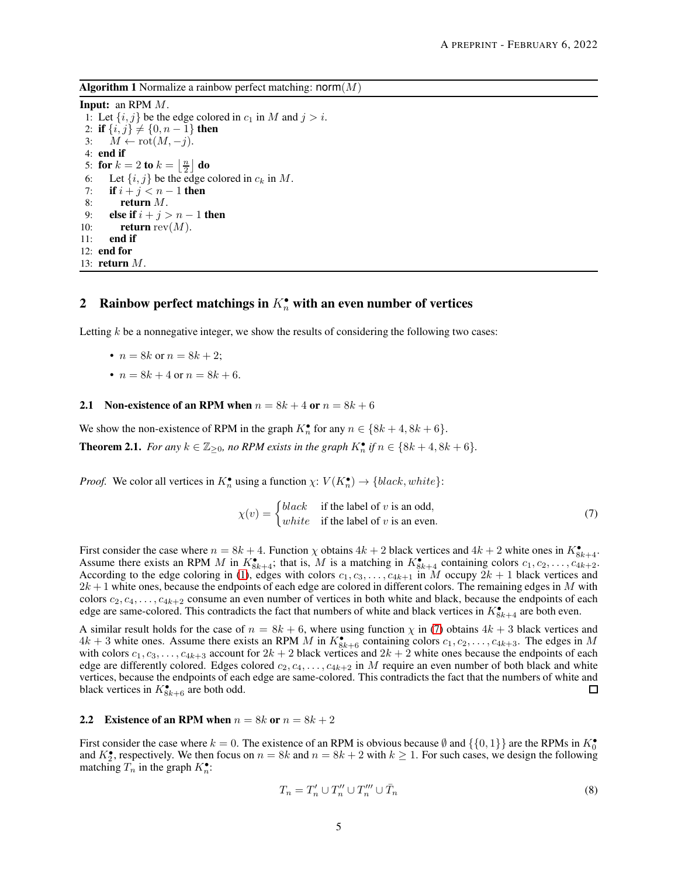<span id="page-4-0"></span>**Algorithm 1** Normalize a rainbow perfect matching:  $norm(M)$ 

<span id="page-4-3"></span><span id="page-4-2"></span><span id="page-4-1"></span>Input: an RPM M. 1: Let  $\{i, j\}$  be the edge colored in  $c_1$  in M and  $j > i$ . 2: **if**  $\{i, j\} \neq \{0, n - 1\}$  then 3:  $M \leftarrow \text{rot}(M, -j)$ . 4: end if 5: for  $k=2$  to  $k=\left\lfloor \frac{n}{2}\right\rfloor$  do 6: Let  $\{i, j\}$  be the edge colored in  $c_k$  in M. 7: **if**  $i + j < n - 1$  then 8: return M. 9: else if  $i + j > n - 1$  then 10: return rev $(M)$ . 11: end if 12: end for 13: return M.

## <span id="page-4-5"></span><span id="page-4-4"></span>2 Rainbow perfect matchings in  $K_n^{\bullet}$  with an even number of vertices

Letting  $k$  be a nonnegative integer, we show the results of considering the following two cases:

- $n = 8k$  or  $n = 8k + 2$ ;
- $n = 8k + 4$  or  $n = 8k + 6$ .

## 2.1 Non-existence of an RPM when  $n = 8k + 4$  or  $n = 8k + 6$

We show the non-existence of RPM in the graph  $K_n^{\bullet}$  for any  $n \in \{8k+4, 8k+6\}$ .

**Theorem 2.1.** *For any*  $k \in \mathbb{Z}_{\geq 0}$ *, no RPM exists in the graph*  $K_n^{\bullet}$  *if*  $n \in \{8k+4, 8k+6\}$ *.* 

*Proof.* We color all vertices in  $K_n^{\bullet}$  using a function  $\chi: V(K_n^{\bullet}) \to \{black, white\}$ :

<span id="page-4-6"></span>
$$
\chi(v) = \begin{cases} black & \text{if the label of } v \text{ is an odd,} \\ white & \text{if the label of } v \text{ is an even.} \end{cases}
$$
(7)

First consider the case where  $n = 8k + 4$ . Function  $\chi$  obtains  $4k + 2$  black vertices and  $4k + 2$  white ones in  $K_{8k+4}^{\bullet}$ . Assume there exists an RPM M in  $K_{8k+4}^{\bullet}$ ; that is, M is a matching in  $K_{8k+4}^{\bullet}$  containing colors  $c_1, c_2, \ldots, c_{4k+2}$ . According to the edge coloring in [\(1\)](#page-1-0), edges with colors  $c_1, c_3, \ldots, c_{4k+1}$  in M occupy  $2k + 1$  black vertices and  $2k+1$  white ones, because the endpoints of each edge are colored in different colors. The remaining edges in M with colors  $c_2, c_4, \ldots, c_{4k+2}$  consume an even number of vertices in both white and black, because the endpoints of each edge are same-colored. This contradicts the fact that numbers of white and black vertices in  $K_{8k+4}^{\bullet}$  are both even.

A similar result holds for the case of  $n = 8k + 6$ , where using function  $\chi$  in [\(7\)](#page-4-6) obtains  $4k + 3$  black vertices and  $4k+3$  white ones. Assume there exists an RPM M in  $K_{8k+6}^{\bullet}$  containing colors  $c_1, c_2, \ldots, c_{4k+3}$ . The edges in M with colors  $c_1, c_3, \ldots, c_{4k+3}$  account for  $2k + 2$  black vertices and  $2k + 2$  white ones because the endpoints of each edge are differently colored. Edges colored  $c_2, c_4, \ldots, c_{4k+2}$  in M require an even number of both black and white vertices, because the endpoints of each edge are same-colored. This contradicts the fact that the numbers of white and black vertices in  $K_{8k+6}^{\bullet}$  are both odd. □

#### 2.2 Existence of an RPM when  $n = 8k$  or  $n = 8k + 2$

First consider the case where  $k = 0$ . The existence of an RPM is obvious because  $\emptyset$  and  $\{\{0, 1\}\}\$ are the RPMs in  $K_0^{\bullet}$ and  $K_2^{\bullet}$ , respectively. We then focus on  $n = 8k$  and  $n = 8k + 2$  with  $k \ge 1$ . For such cases, we design the following matching  $T_n$  in the graph  $K_n^{\bullet}$ :

$$
T_n = T'_n \cup T''_n \cup T''_n \cup \bar{T}_n \tag{8}
$$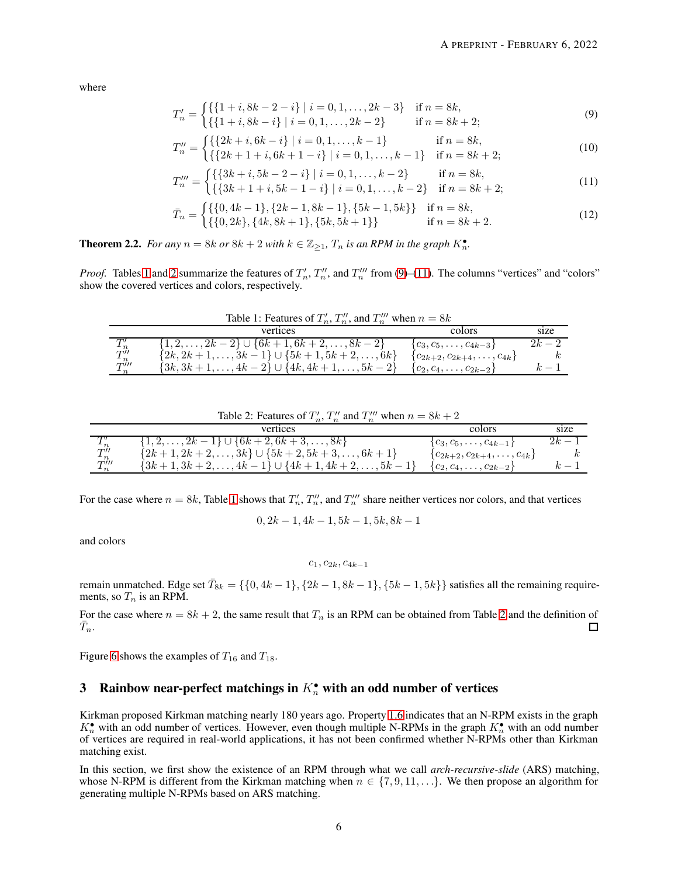where

<span id="page-5-2"></span>
$$
T'_{n} = \begin{cases} \{\{1+i, 8k-2-i\} \mid i=0, 1, \ldots, 2k-3\} & \text{if } n=8k, \\ \{\{1+i, 8k-i\} \mid i=0, 1, \ldots, 2k-2\} & \text{if } n=8k+2; \end{cases}
$$
(9)

$$
T_n'' = \begin{cases} \{ \{2k+i, 6k-i\} \mid i = 0, 1, \dots, k-1 \} & \text{if } n = 8k, \\ \{ \{2k+1+i, 6k+1-i\} \mid i = 0, 1, \dots, k-1 \} & \text{if } n = 8k+2; \end{cases}
$$
(10)

$$
T_n''' = \begin{cases} \{ \{3k+i, 5k-2-i\} \mid i=0,1,\ldots,k-2\} & \text{if } n=8k, \\ \{ \{3k+1+i, 5k-1-i\} \mid i=0,1,\ldots,k-2\} & \text{if } n=8k+2; \end{cases} \tag{11}
$$

$$
\bar{T}_n = \begin{cases} \{ \{0, 4k - 1\}, \{2k - 1, 8k - 1\}, \{5k - 1, 5k\} \} & \text{if } n = 8k, \\ \{ \{0, 2k\}, \{4k, 8k + 1\}, \{5k, 5k + 1\} \} & \text{if } n = 8k + 2. \end{cases}
$$
\n(12)

**Theorem 2.2.** *For any*  $n = 8k$  *or*  $8k + 2$  *with*  $k \in \mathbb{Z}_{\geq 1}$ *,*  $T_n$  *is an RPM in the graph*  $K_n^{\bullet}$ *.* 

<span id="page-5-0"></span>*Proof.* Tables [1](#page-5-0) and [2](#page-5-1) summarize the features of  $T_n'$ ,  $T_n''$ , and  $T_n'''$  from [\(9\)](#page-5-2)–[\(11\)](#page-5-3). The columns "vertices" and "colors" show the covered vertices and colors, respectively.

| .                           |                                                              |                                        |            |  |
|-----------------------------|--------------------------------------------------------------|----------------------------------------|------------|--|
|                             | vertices                                                     | colors                                 | size       |  |
|                             | $\{1, 2, \ldots, 2k-2\} \cup \{6k+1, 6k+2, \ldots, 8k-2\}$   | ${c_3, c_5, \ldots, c_{4k-3}}$         | $2k-2$     |  |
| $\overset{I}{T}{}^\prime_n$ | $\{2k, 2k+1, \ldots, 3k-1\} \cup \{5k+1, 5k+2, \ldots, 6k\}$ | ${c_{2k+2}, c_{2k+4}, \ldots, c_{4k}}$ |            |  |
| $T_n'''$                    | $\{3k, 3k+1, \ldots, 4k-2\} \cup \{4k, 4k+1, \ldots, 5k-2\}$ | ${c_2, c_4, \ldots, c_{2k-2}}$         | $\sim$ $-$ |  |

<span id="page-5-3"></span>Table 1: Features of  $T'_n$ ,  $T''_n$ , and  $T''''_n$  when  $n = 8k$ 

| Table 2: Features of $T'_n$ , $T''_n$ and $T'''_n$ when $n = 8k + 2$ |  |
|----------------------------------------------------------------------|--|
|----------------------------------------------------------------------|--|

<span id="page-5-1"></span>

|      | vertices                                                         | colors                                 | size   |
|------|------------------------------------------------------------------|----------------------------------------|--------|
|      | $\{1, 2, \ldots, 2k-1\} \cup \{6k+2, 6k+3, \ldots, 8k\}$         | ${c_3, c_5, \ldots, c_{4k-1}}$         | $2k-1$ |
| T''  | $\{2k+1, 2k+2, \ldots, 3k\} \cup \{5k+2, 5k+3, \ldots, 6k+1\}$   | ${c_{2k+2}, c_{2k+4}, \ldots, c_{4k}}$ |        |
| T''' | $\{3k+1, 3k+2, \ldots, 4k-1\} \cup \{4k+1, 4k+2, \ldots, 5k-1\}$ | ${c_2, c_4, \ldots, c_{2k-2}}$         | $k-1$  |

For the case where  $n = 8k$ , Table [1](#page-5-0) shows that  $T'_n$ ,  $T''_n$ , and  $T''_n$  share neither vertices nor colors, and that vertices

 $0, 2k - 1, 4k - 1, 5k - 1, 5k, 8k - 1$ 

and colors

 $c_1, c_{2k}, c_{4k-1}$ 

remain unmatched. Edge set  $\bar{T}_{8k} = \{\{0,4k-1\},\{2k-1,8k-1\},\{5k-1,5k\}\}$  satisfies all the remaining requirements, so  $T_n$  is an RPM.

For the case where  $n = 8k + 2$  $n = 8k + 2$ , the same result that  $T_n$  is an RPM can be obtained from Table 2 and the definition of  $\bar{T}_n$ .  $\Box$ 

Figure [6](#page-12-0) shows the examples of  $T_{16}$  and  $T_{18}$ .

## 3 Rainbow near-perfect matchings in  $K_n^{\bullet}$  with an odd number of vertices

Kirkman proposed Kirkman matching nearly 180 years ago. Property [1.6](#page-3-3) indicates that an N-RPM exists in the graph  $K_n^{\bullet}$  with an odd number of vertices. However, even though multiple N-RPMs in the graph  $K_n^{\bullet}$  with an odd number of vertices are required in real-world applications, it has not been confirmed whether N-RPMs other than Kirkman matching exist.

In this section, we first show the existence of an RPM through what we call *arch-recursive-slide* (ARS) matching, whose N-RPM is different from the Kirkman matching when  $n \in \{7, 9, 11, \ldots\}$ . We then propose an algorithm for generating multiple N-RPMs based on ARS matching.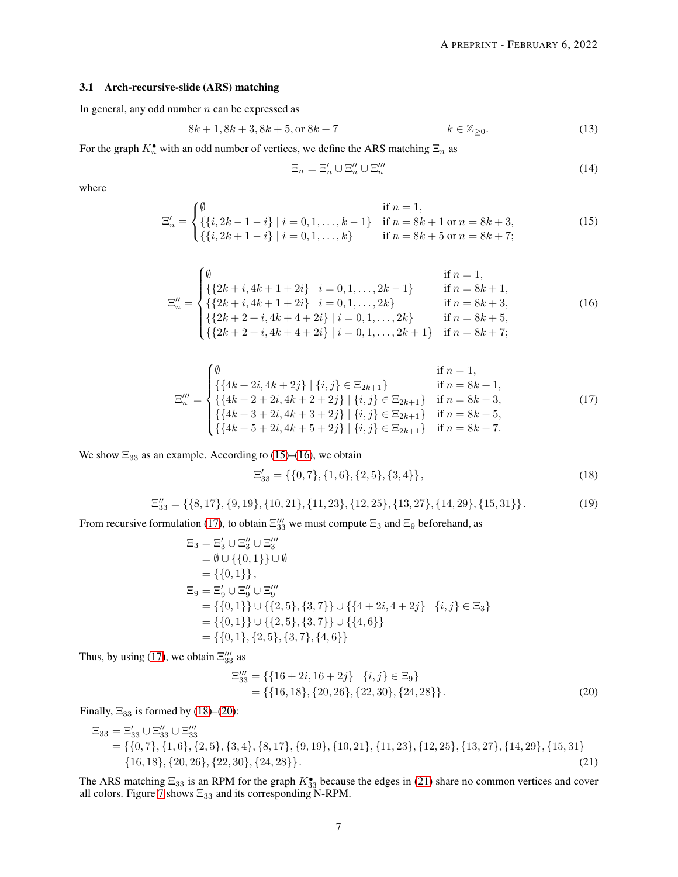#### 3.1 Arch-recursive-slide (ARS) matching

In general, any odd number  $n$  can be expressed as

$$
8k + 1, 8k + 3, 8k + 5, \text{or } 8k + 7 \qquad k \in \mathbb{Z}_{\geq 0}.\tag{13}
$$

For the graph  $K_n^{\bullet}$  with an odd number of vertices, we define the ARS matching  $\Xi_n$  as

<span id="page-6-1"></span><span id="page-6-0"></span>
$$
\Xi_n = \Xi'_n \cup \Xi''_n \cup \Xi'''_n \tag{14}
$$

where

$$
\Xi'_n = \begin{cases}\n\emptyset & \text{if } n = 1, \\
\{\{i, 2k - 1 - i\} \mid i = 0, 1, \dots, k - 1\} & \text{if } n = 8k + 1 \text{ or } n = 8k + 3, \\
\{\{i, 2k + 1 - i\} \mid i = 0, 1, \dots, k\} & \text{if } n = 8k + 5 \text{ or } n = 8k + 7;\n\end{cases}
$$
\n(15)

$$
\Xi''_n = \begin{cases}\n\emptyset & \text{if } n = 1, \\
\{(2k+i, 4k+1+2i) \mid i = 0, 1, \dots, 2k-1\} & \text{if } n = 8k+1, \\
\{(2k+i, 4k+1+2i) \mid i = 0, 1, \dots, 2k\} & \text{if } n = 8k+3, \\
\{(2k+2+i, 4k+4+2i) \mid i = 0, 1, \dots, 2k\} & \text{if } n = 8k+5, \\
\{(2k+2+i, 4k+4+2i) \mid i = 0, 1, \dots, 2k+1\} & \text{if } n = 8k+7;\n\end{cases}
$$
\n(16)

$$
\Xi_{n}''' = \begin{cases}\n\emptyset & \text{if } n = 1, \\
\{\{4k + 2i, 4k + 2j\} \mid \{i, j\} \in \Xi_{2k+1}\} & \text{if } n = 8k + 1, \\
\{\{4k + 2 + 2i, 4k + 2 + 2j\} \mid \{i, j\} \in \Xi_{2k+1}\} & \text{if } n = 8k + 3, \\
\{\{4k + 3 + 2i, 4k + 3 + 2j\} \mid \{i, j\} \in \Xi_{2k+1}\} & \text{if } n = 8k + 5, \\
\{\{4k + 5 + 2i, 4k + 5 + 2j\} \mid \{i, j\} \in \Xi_{2k+1}\} & \text{if } n = 8k + 7.\n\end{cases}
$$
\n(17)

We show  $\Xi_{33}$  as an example. According to [\(15\)](#page-6-0)–[\(16\)](#page-6-1), we obtain

<span id="page-6-3"></span><span id="page-6-2"></span>
$$
\Xi'_{33} = \{ \{0,7\}, \{1,6\}, \{2,5\}, \{3,4\} \},\tag{18}
$$

$$
\Xi_{33}^{\prime\prime} = \{ \{8, 17\}, \{9, 19\}, \{10, 21\}, \{11, 23\}, \{12, 25\}, \{13, 27\}, \{14, 29\}, \{15, 31\} \}.
$$
(19)

From recursive formulation [\(17\)](#page-6-2), to obtain  $\Xi_{33}^{\prime\prime\prime}$  we must compute  $\Xi_3$  and  $\Xi_9$  beforehand, as

$$
\begin{aligned}\n\Xi_3 &= \Xi_3' \cup \Xi_3'' \cup \Xi_3''' \\
&= \emptyset \cup \{\{0,1\}\} \cup \emptyset \\
&= \{\{0,1\}\}, \\
\Xi_9 &= \Xi_9' \cup \Xi_9'' \cup \Xi_9''' \\
&= \{\{0,1\}\} \cup \{\{2,5\}, \{3,7\}\} \cup \{\{4+2i,4+2j\} \mid \{i,j\} \in \Xi_3\} \\
&= \{\{0,1\}\} \cup \{\{2,5\}, \{3,7\}\} \cup \{\{4,6\}\} \\
&= \{\{0,1\}, \{2,5\}, \{3,7\}, \{4,6\}\}\n\end{aligned}
$$

Thus, by using [\(17\)](#page-6-2), we obtain  $\Xi_{33}'''$  as

<span id="page-6-5"></span><span id="page-6-4"></span>
$$
\Xi_{33}''' = \{ \{16+2i, 16+2j\} \mid \{i, j\} \in \Xi_9 \} \n= \{ \{16, 18\}, \{20, 26\}, \{22, 30\}, \{24, 28\} \}.
$$
\n(20)

Finally,  $\Xi_{33}$  is formed by [\(18\)](#page-6-3)–[\(20\)](#page-6-4):

$$
\begin{aligned}\n\Xi_{33} &= \Xi'_{33} \cup \Xi''_{33} \\
&= \{ \{0, 7\}, \{1, 6\}, \{2, 5\}, \{3, 4\}, \{8, 17\}, \{9, 19\}, \{10, 21\}, \{11, 23\}, \{12, 25\}, \{13, 27\}, \{14, 29\}, \{15, 31\} \\
&= \{16, 18\}, \{20, 26\}, \{22, 30\}, \{24, 28\} \}.\n\end{aligned}
$$
\n
$$
(21)
$$

The ARS matching  $\Xi_{33}$  is an RPM for the graph  $K_{33}^{\bullet}$  because the edges in [\(21\)](#page-6-5) share no common vertices and cover all colors. Figure [7](#page-12-1) shows  $\Xi_{33}$  and its corresponding N-RPM.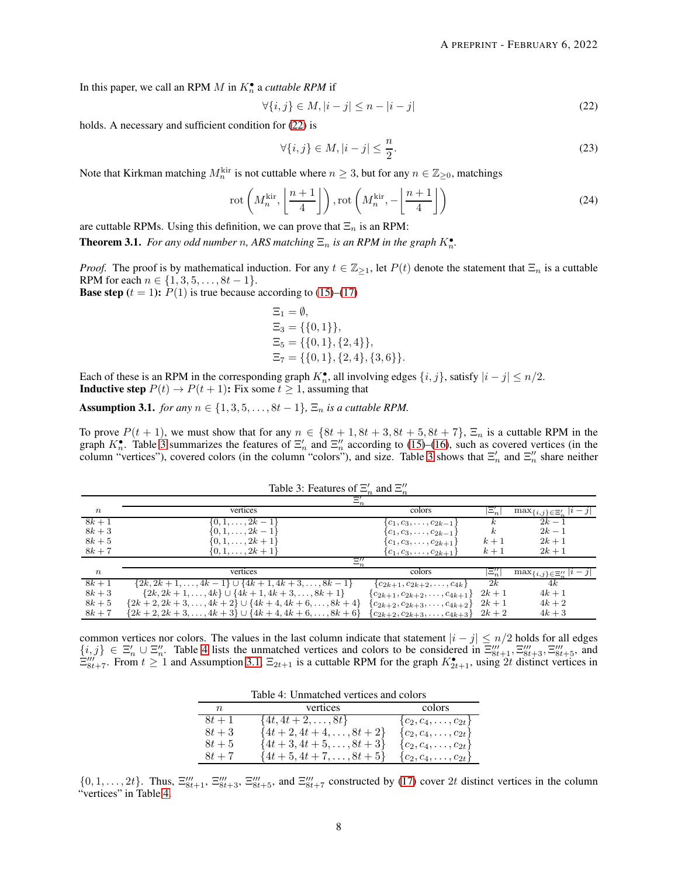In this paper, we call an RPM  $M$  in  $K_n^{\bullet}$  a *cuttable RPM* if

$$
\forall \{i,j\} \in M, |i-j| \le n - |i-j| \tag{22}
$$

holds. A necessary and sufficient condition for  $(22)$  is

<span id="page-7-5"></span><span id="page-7-0"></span>
$$
\forall \{i,j\} \in M, |i-j| \le \frac{n}{2}.\tag{23}
$$

Note that Kirkman matching  $M_n^{\text{kir}}$  is not cuttable where  $n \geq 3$ , but for any  $n \in \mathbb{Z}_{\geq 0}$ , matchings

$$
\operatorname{rot}\left(M_n^{\text{kir}}, \left\lfloor \frac{n+1}{4} \right\rfloor\right), \operatorname{rot}\left(M_n^{\text{kir}}, -\left\lfloor \frac{n+1}{4} \right\rfloor\right) \tag{24}
$$

are cuttable RPMs. Using this definition, we can prove that  $\Xi_n$  is an RPM:

<span id="page-7-4"></span>**Theorem 3.1.** For any odd number n, ARS matching  $\Xi_n$  is an RPM in the graph  $K_n^{\bullet}$ .

*Proof.* The proof is by mathematical induction. For any  $t \in \mathbb{Z}_{\geq 1}$ , let  $P(t)$  denote the statement that  $\Xi_n$  is a cuttable RPM for each  $n \in \{1, 3, 5, \ldots, 8t - 1\}.$ 

**Base step**  $(t = 1)$ :  $P(1)$  is true because according to [\(15\)](#page-6-0)–[\(17\)](#page-6-2)

$$
\Xi_1 = \emptyset,
$$
  
\n
$$
\Xi_3 = \{\{0, 1\}\},
$$
  
\n
$$
\Xi_5 = \{\{0, 1\}, \{2, 4\}\},
$$
  
\n
$$
\Xi_7 = \{\{0, 1\}, \{2, 4\}, \{3, 6\}\}.
$$

Each of these is an RPM in the corresponding graph  $K_n^{\bullet}$ , all involving edges  $\{i, j\}$ , satisfy  $|i - j| \le n/2$ . **Inductive step**  $P(t) \rightarrow P(t+1)$ : Fix some  $t \ge 1$ , assuming that

<span id="page-7-3"></span>Assumption 3.1. *for any*  $n \in \{1, 3, 5, \ldots, 8t - 1\}$ ,  $\Xi_n$  *is a cuttable RPM.* 

<span id="page-7-1"></span>To prove  $P(t + 1)$ , we must show that for any  $n \in \{8t + 1, 8t + 3, 8t + 5, 8t + 7\}$ ,  $\Xi_n$  is a cuttable RPM in the graph  $K_n^{\bullet}$ . Table [3](#page-7-1) summarizes the features of  $\Xi_n'$  and  $\Xi_n''$  according to [\(15\)](#page-6-0)–[\(16\)](#page-6-1), such as covered vertices (in the column "vertices"), covered colors (in the column "colors"), and size. Table [3](#page-7-1) shows that  $\Xi'_n$  and  $\Xi''_n$  share neither

|                  | $\Xi_n'$                                                         |                                          |                  |                                   |
|------------------|------------------------------------------------------------------|------------------------------------------|------------------|-----------------------------------|
| $\boldsymbol{n}$ | vertices                                                         | colors                                   | $ \Xi_n' $       | $\max_{\{i,j\}\in\Xi'_n}  i-j $   |
| $8k + 1$         | $\{0, 1, \ldots, 2k-1\}$                                         | $\{c_1, c_3, \ldots, c_{2k-1}\}$         |                  | $2k-1$                            |
| $8k+3$           | $\{0, 1, \ldots, 2k-1\}$                                         | $\{c_1, c_3, \ldots, c_{2k-1}\}\$        | $\boldsymbol{k}$ | $2k-1$                            |
| $8k+5$           | $\{0, 1, \ldots, 2k+1\}$                                         | $\{c_1, c_3, \ldots, c_{2k+1}\}\$        | $k+1$            | $2k+1$                            |
| $8k+7$           | $\{0, 1, \ldots, 2k+1\}$                                         | $\{c_1, c_3, \ldots, c_{2k+1}\}\$        | $k+1$            | $2k+1$                            |
|                  | $\Xi''_n$                                                        |                                          |                  |                                   |
| $\boldsymbol{n}$ | vertices                                                         | colors                                   | $ \Xi''_n $      | $\max_{\{i,j\}\in \Xi''_n}  i-j $ |
| $8k + 1$         | $\{2k, 2k+1, \ldots, 4k-1\} \cup \{4k+1, 4k+3, \ldots, 8k-1\}$   | ${c_{2k+1}, c_{2k+2}, \ldots, c_{4k}}$   | 2k               | 4k                                |
| $8k+3$           | $\{2k, 2k+1, \ldots, 4k\} \cup \{4k+1, 4k+3, \ldots, 8k+1\}$     | ${c_{2k+1}, c_{2k+2}, \ldots, c_{4k+1}}$ | $2k+1$           | $4k+1$                            |
| $8k+5$           | $\{2k+2, 2k+3, \ldots, 4k+2\} \cup \{4k+4, 4k+6, \ldots, 8k+4\}$ | ${c_{2k+2}, c_{2k+3}, \ldots, c_{4k+2}}$ | $2k+1$           | $4k+2$                            |
| $8k+7$           | ${2k+2, 2k+3, , 4k+3} \cup {4k+4, 4k+6, , 8k+6}$                 | ${c_{2k+2}, c_{2k+3}, \ldots, c_{4k+3}}$ | $2k+2$           | $4k+3$                            |

| Table 3: Features of $\Xi_n$ and $\Xi_n''$ |  |  |  |
|--------------------------------------------|--|--|--|
|--------------------------------------------|--|--|--|

<span id="page-7-2"></span>common vertices nor colors. The values in the last column indicate that statement  $|i - j| \le n/2$  holds for all edges  $\{i,j\} \in \Xi'_n \cup \Xi''_n$ . Table [4](#page-7-2) lists the unmatched vertices and colors to be considered in  $\Xi''''_{8t+1}, \Xi'''_{8t+3}, \Xi'''_{8t+5}$ , and  $\Xi_{8t+7}''$ . From  $t \ge 1$  and Assumption [3.1,](#page-7-3)  $\Xi_{2t+1}$  is a cuttable RPM for the graph  $K_{2t+1}^{\bullet}$ , using 2t distinct vertices in

| Table 4: Unmatched vertices and colors |                                |                                 |  |
|----------------------------------------|--------------------------------|---------------------------------|--|
| n                                      | vertices                       | colors                          |  |
| $8t+1$                                 | $\{4t, 4t+2, \ldots, 8t\}$     | $\{c_2, c_4, \ldots, c_{2t}\}\$ |  |
| $8t+3$                                 | $\{4t+2, 4t+4, \ldots, 8t+2\}$ | $\{c_2, c_4, \ldots, c_{2t}\}\$ |  |
| $8t+5$                                 | $\{4t+3, 4t+5, \ldots, 8t+3\}$ | $\{c_2, c_4, \ldots, c_{2t}\}\$ |  |
| $8t + 7$                               | $\{4t+5, 4t+7, \ldots, 8t+5\}$ | ${c_2, c_4, \ldots, c_{2t}}$    |  |

 $\{0, 1, \ldots, 2t\}$ . Thus,  $\Xi_{8t+1}'''$ ,  $\Xi_{8t+3}'''$ ,  $\Xi_{8t+5}'''$ , and  $\Xi_{8t+7}'''$  constructed by [\(17\)](#page-6-2) cover 2t distinct vertices in the column "vertices" in Table [4.](#page-7-2)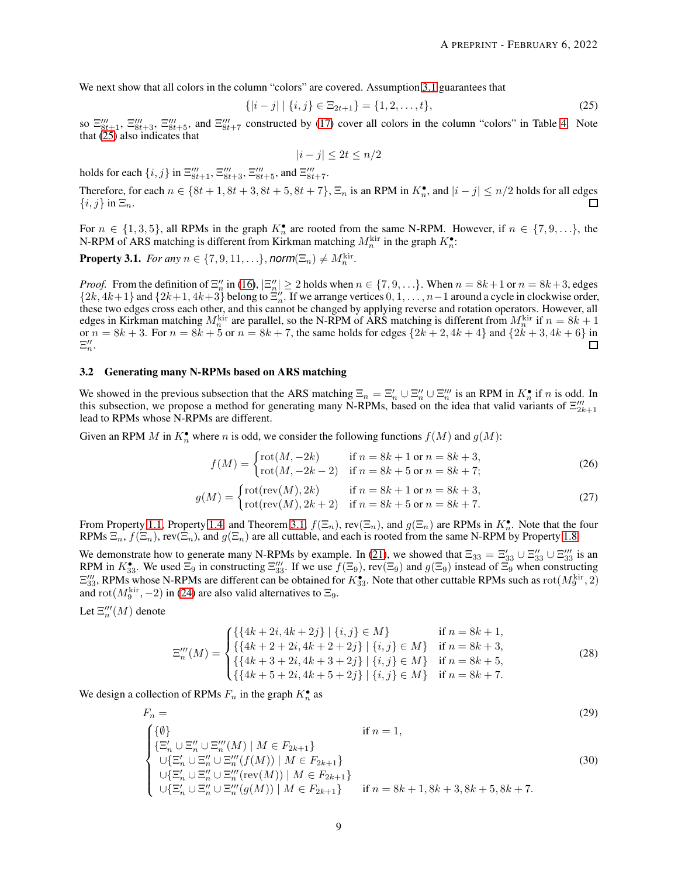We next show that all colors in the column "colors" are covered. Assumption [3.1](#page-7-3) guarantees that

$$
\{|i-j| \mid \{i,j\} \in \Xi_{2t+1}\} = \{1,2,\ldots,t\},\tag{25}
$$

so  $\Xi_{8t+1}''$ ,  $\Xi_{8t+3}'''$ ,  $\Xi_{8t+5}'''$ , and  $\Xi_{8t+7}'''$  constructed by [\(17\)](#page-6-2) cover all colors in the column "colors" in Table [4.](#page-7-2) Note that  $(25)$  also indicates that

<span id="page-8-0"></span>
$$
|i - j| \le 2t \le n/2
$$

holds for each  $\{i, j\}$  in  $\Xi_{8t+1}'''$ ,  $\Xi_{8t+3}'''$ ,  $\Xi_{8t+5}'''$ , and  $\Xi_{8t+7}'''$ .

Therefore, for each  $n \in \{8t+1, 8t+3, 8t+5, 8t+7\}$ ,  $\Xi_n$  is an RPM in  $K_n^{\bullet}$ , and  $|i-j| \leq n/2$  holds for all edges  $\{i, j\}$  in  $\Xi_n$ . П

For  $n \in \{1,3,5\}$ , all RPMs in the graph  $K_n^{\bullet}$  are rooted from the same N-RPM. However, if  $n \in \{7,9,...\}$ , the N-RPM of ARS matching is different from Kirkman matching  $M_n^{\text{kir}}$  in the graph  $K_n^{\bullet}$ :

**Property 3.1.** *For any*  $n \in \{7, 9, 11, ...\}$ , *norm* $(\Xi_n) \neq M_n^{\text{kir}}$ .

*Proof.* From the definition of  $\Xi''_n$  in [\(16\)](#page-6-1),  $|\Xi''_n| \ge 2$  holds when  $n \in \{7, 9, \ldots\}$ . When  $n = 8k + 1$  or  $n = 8k + 3$ , edges  $\{2k, 4k+1\}$  and  $\{2k+1, 4k+3\}$  belong to  $\Xi''_n$ . If we arrange vertices  $0, 1, \ldots, n-1$  around a cycle in clockwise order, these two edges cross each other, and this cannot be changed by applying reverse and rotation operators. However, all edges in Kirkman matching  $M_n^{\text{kir}}$  are parallel, so the N-RPM of ARS matching is different from  $M_n^{\text{kir}}$  if  $n = 8k + 1$ or  $n = 8k + 3$ . For  $n = 8k + 5$  or  $n = 8k + 7$ , the same holds for edges  $\{2k + 2, 4k + 4\}$  and  $\{2k + 3, 4k + 6\}$  in  $\Xi''_n$ .  $\Box$ 

## 3.2 Generating many N-RPMs based on ARS matching

We showed in the previous subsection that the ARS matching  $\Xi_n = \Xi'_n \cup \Xi''_n \cup \Xi''_n$  is an RPM in  $K_n^{\bullet}$  if n is odd. In this subsection, we propose a method for generating many N-RPMs, based on the idea that valid variants of  $\Xi_{2k+1}'''$ lead to RPMs whose N-RPMs are different.

Given an RPM M in  $K_n^{\bullet}$  where n is odd, we consider the following functions  $f(M)$  and  $g(M)$ :

$$
f(M) = \begin{cases} \text{rot}(M, -2k) & \text{if } n = 8k + 1 \text{ or } n = 8k + 3, \\ \text{rot}(M, -2k - 2) & \text{if } n = 8k + 5 \text{ or } n = 8k + 7; \end{cases} \tag{26}
$$

$$
g(M) = \begin{cases} \text{rot}(\text{rev}(M), 2k) & \text{if } n = 8k + 1 \text{ or } n = 8k + 3, \\ \text{rot}(\text{rev}(M), 2k + 2) & \text{if } n = 8k + 5 \text{ or } n = 8k + 7. \end{cases}
$$
(27)

From Property [1.1,](#page-1-3) Property [1.4,](#page-2-4) and Theorem [3.1,](#page-7-4)  $f(\Xi_n)$ , rev $(\Xi_n)$ , and  $g(\Xi_n)$  are RPMs in  $K_n^{\bullet}$ . Note that the four RPMs  $\Xi_n$ ,  $f(\Xi_n)$ , rev $(\Xi_n)$ , and  $g(\Xi_n)$  are all cuttable, and each is rooted from the same N-RPM by Property [1.8.](#page-3-4)

We demonstrate how to generate many N-RPMs by example. In [\(21\)](#page-6-5), we showed that  $\Xi_{33} = \Xi'_{33} \cup \Xi''_{33} \cup \Xi'''_{33}$  is an RPM in  $K_{33}^{\bullet}$ . We used  $\Xi_9$  in constructing  $\Xi_{33}''$ . If we use  $f(\Xi_9)$ , rev $(\Xi_9)$  and  $g(\Xi_9)$  instead of  $\Xi_9$  when constructing  $\Xi''_{33}$ , RPMs whose N-RPMs are different can be obtained for  $K_{33}^{\bullet}$ . Note that other cuttable RPMs such as  $rot(M_9^{\text{kir}}, 2)$ and  $\text{rot}(M_9^{\text{kir}}, -2)$  in [\(24\)](#page-7-5) are also valid alternatives to  $\Xi_9$ .

Let  $\Xi_n'''(M)$  denote

<span id="page-8-1"></span>
$$
\Xi_{n}'''(M) = \begin{cases} \{\{4k+2i, 4k+2j\} \mid \{i, j\} \in M\} & \text{if } n = 8k+1, \\ \{\{4k+2+2i, 4k+2+2j\} \mid \{i, j\} \in M\} & \text{if } n = 8k+3, \\ \{\{4k+3+2i, 4k+3+2j\} \mid \{i, j\} \in M\} & \text{if } n = 8k+5, \\ \{\{4k+5+2i, 4k+5+2j\} \mid \{i, j\} \in M\} & \text{if } n = 8k+7. \end{cases}
$$
(28)

We design a collection of RPMs  $F_n$  in the graph  $K_n^{\bullet}$  as

$$
F_n = \n\begin{cases}\n\{\emptyset\} & \text{if } n = 1, \\
\{\Xi'_n \cup \Xi''_n \cup \Xi'''_n(M) \mid M \in F_{2k+1}\} & \text{if } n = 1, \\
\cup \{\Xi'_n \cup \Xi''_n \cup \Xi'''_n(f(M)) \mid M \in F_{2k+1}\} & \text{(30)} \\
\cup \{\Xi'_n \cup \Xi''_n \cup \Xi'''_n(\text{rev}(M)) \mid M \in F_{2k+1}\} & \text{if } n = 8k+1, 8k+3, 8k+5, 8k+7.\n\end{cases}
$$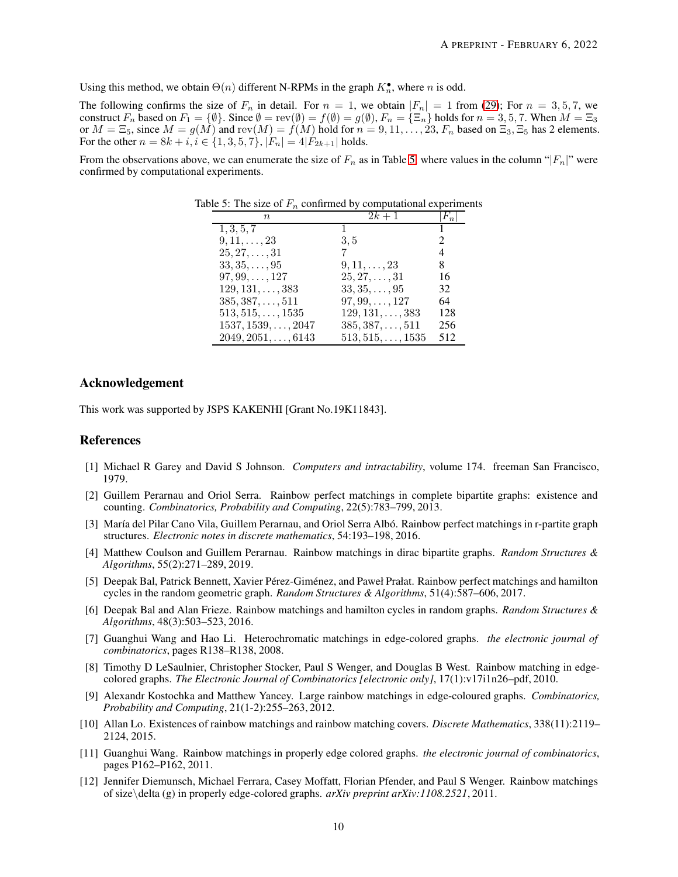Using this method, we obtain  $\Theta(n)$  different N-RPMs in the graph  $K_n^{\bullet}$ , where n is odd.

The following confirms the size of  $F_n$  in detail. For  $n = 1$ , we obtain  $|F_n| = 1$  from [\(29\)](#page-8-1); For  $n = 3, 5, 7$ , we construct  $F_n$  based on  $F_1 = \{\emptyset\}$ . Since  $\emptyset = \mathrm{rev}(\emptyset) = f(\emptyset) = g(\emptyset)$ ,  $F_n = \{\Xi_n\}$  holds for  $n = 3, 5, 7$ . When  $M = \Xi_3$ or  $M = \Xi_5$ , since  $M = g(M)$  and rev $(M) = f(M)$  hold for  $n = 9, 11, \ldots, 23, F_n$  based on  $\Xi_3, \Xi_5$  has 2 elements. For the other  $n = 8k + i$ ,  $i \in \{1, 3, 5, 7\}$ ,  $|F_n| = 4|F_{2k+1}|$  holds.

<span id="page-9-12"></span>From the observations above, we can enumerate the size of  $F_n$  as in Table [5,](#page-9-12) where values in the column " $|F_n|$ " were confirmed by computational experiments.

| $n_{\cdot}$                | $2k+1$                   | $ F_n $       |
|----------------------------|--------------------------|---------------|
| 1, 3, 5, 7                 | $\mathbf{1}$             |               |
| $9, 11, \ldots, 23$        | 3,5                      | $\mathcal{L}$ |
| $25, 27, \ldots, 31$       |                          | 4             |
| $33, 35, \ldots, 95$       | $9, 11, \ldots, 23$      | 8             |
| $97, 99, \ldots, 127$      | $25, 27, \ldots, 31$     | 16            |
| $129, 131, \ldots, 383$    | $33, 35, \ldots, 95$     | 32            |
| $385, 387, \ldots, 511$    | $97, 99, \ldots, 127$    | 64            |
| $513, 515, \ldots, 1535$   | $129, 131, \ldots, 383$  | 128           |
| $1537, 1539, \ldots, 2047$ | $385, 387, \ldots, 511$  | 256           |
| $2049, 2051, \ldots, 6143$ | $513, 515, \ldots, 1535$ | 512           |

Table 5: The size of  $F_n$  confirmed by computational experiments

## Acknowledgement

This work was supported by JSPS KAKENHI [Grant No.19K11843].

### <span id="page-9-0"></span>**References**

- <span id="page-9-1"></span>[1] Michael R Garey and David S Johnson. *Computers and intractability*, volume 174. freeman San Francisco, 1979.
- [2] Guillem Perarnau and Oriol Serra. Rainbow perfect matchings in complete bipartite graphs: existence and counting. *Combinatorics, Probability and Computing*, 22(5):783–799, 2013.
- <span id="page-9-2"></span>[3] María del Pilar Cano Vila, Guillem Perarnau, and Oriol Serra Albó. Rainbow perfect matchings in r-partite graph structures. *Electronic notes in discrete mathematics*, 54:193–198, 2016.
- <span id="page-9-3"></span>[4] Matthew Coulson and Guillem Perarnau. Rainbow matchings in dirac bipartite graphs. *Random Structures & Algorithms*, 55(2):271–289, 2019.
- <span id="page-9-4"></span>[5] Deepak Bal, Patrick Bennett, Xavier Pérez-Giménez, and Paweł Prałat. Rainbow perfect matchings and hamilton cycles in the random geometric graph. *Random Structures & Algorithms*, 51(4):587–606, 2017.
- <span id="page-9-5"></span>[6] Deepak Bal and Alan Frieze. Rainbow matchings and hamilton cycles in random graphs. *Random Structures & Algorithms*, 48(3):503–523, 2016.
- <span id="page-9-6"></span>[7] Guanghui Wang and Hao Li. Heterochromatic matchings in edge-colored graphs. *the electronic journal of combinatorics*, pages R138–R138, 2008.
- <span id="page-9-7"></span>[8] Timothy D LeSaulnier, Christopher Stocker, Paul S Wenger, and Douglas B West. Rainbow matching in edgecolored graphs. *The Electronic Journal of Combinatorics [electronic only]*, 17(1):v17i1n26–pdf, 2010.
- <span id="page-9-8"></span>[9] Alexandr Kostochka and Matthew Yancey. Large rainbow matchings in edge-coloured graphs. *Combinatorics, Probability and Computing*, 21(1-2):255–263, 2012.
- <span id="page-9-9"></span>[10] Allan Lo. Existences of rainbow matchings and rainbow matching covers. *Discrete Mathematics*, 338(11):2119– 2124, 2015.
- <span id="page-9-10"></span>[11] Guanghui Wang. Rainbow matchings in properly edge colored graphs. *the electronic journal of combinatorics*, pages P162–P162, 2011.
- <span id="page-9-11"></span>[12] Jennifer Diemunsch, Michael Ferrara, Casey Moffatt, Florian Pfender, and Paul S Wenger. Rainbow matchings of size\delta (g) in properly edge-colored graphs. *arXiv preprint arXiv:1108.2521*, 2011.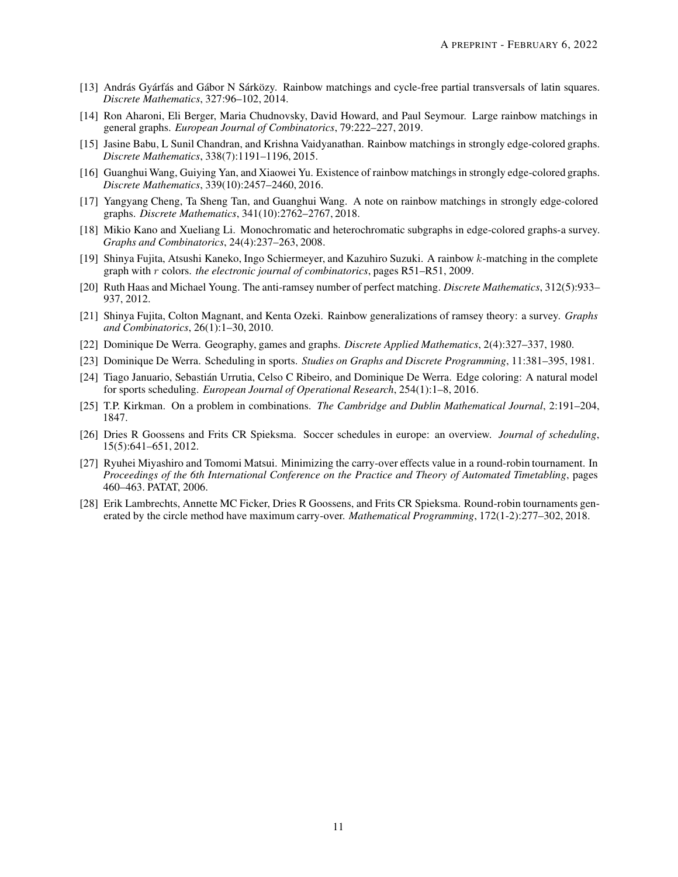- <span id="page-10-0"></span>[13] András Gyárfás and Gábor N Sárközy. Rainbow matchings and cycle-free partial transversals of latin squares. *Discrete Mathematics*, 327:96–102, 2014.
- <span id="page-10-1"></span>[14] Ron Aharoni, Eli Berger, Maria Chudnovsky, David Howard, and Paul Seymour. Large rainbow matchings in general graphs. *European Journal of Combinatorics*, 79:222–227, 2019.
- <span id="page-10-2"></span>[15] Jasine Babu, L Sunil Chandran, and Krishna Vaidyanathan. Rainbow matchings in strongly edge-colored graphs. *Discrete Mathematics*, 338(7):1191–1196, 2015.
- <span id="page-10-3"></span>[16] Guanghui Wang, Guiying Yan, and Xiaowei Yu. Existence of rainbow matchings in strongly edge-colored graphs. *Discrete Mathematics*, 339(10):2457–2460, 2016.
- <span id="page-10-4"></span>[17] Yangyang Cheng, Ta Sheng Tan, and Guanghui Wang. A note on rainbow matchings in strongly edge-colored graphs. *Discrete Mathematics*, 341(10):2762–2767, 2018.
- <span id="page-10-5"></span>[18] Mikio Kano and Xueliang Li. Monochromatic and heterochromatic subgraphs in edge-colored graphs-a survey. *Graphs and Combinatorics*, 24(4):237–263, 2008.
- <span id="page-10-6"></span>[19] Shinya Fujita, Atsushi Kaneko, Ingo Schiermeyer, and Kazuhiro Suzuki. A rainbow k-matching in the complete graph with r colors. *the electronic journal of combinatorics*, pages R51–R51, 2009.
- <span id="page-10-7"></span>[20] Ruth Haas and Michael Young. The anti-ramsey number of perfect matching. *Discrete Mathematics*, 312(5):933– 937, 2012.
- <span id="page-10-8"></span>[21] Shinya Fujita, Colton Magnant, and Kenta Ozeki. Rainbow generalizations of ramsey theory: a survey. *Graphs and Combinatorics*, 26(1):1–30, 2010.
- <span id="page-10-10"></span><span id="page-10-9"></span>[22] Dominique De Werra. Geography, games and graphs. *Discrete Applied Mathematics*, 2(4):327–337, 1980.
- <span id="page-10-11"></span>[23] Dominique De Werra. Scheduling in sports. *Studies on Graphs and Discrete Programming*, 11:381–395, 1981.
- [24] Tiago Januario, Sebastián Urrutia, Celso C Ribeiro, and Dominique De Werra. Edge coloring: A natural model for sports scheduling. *European Journal of Operational Research*, 254(1):1–8, 2016.
- <span id="page-10-13"></span><span id="page-10-12"></span>[25] T.P. Kirkman. On a problem in combinations. *The Cambridge and Dublin Mathematical Journal*, 2:191–204, 1847.
- [26] Dries R Goossens and Frits CR Spieksma. Soccer schedules in europe: an overview. *Journal of scheduling*, 15(5):641–651, 2012.
- <span id="page-10-14"></span>[27] Ryuhei Miyashiro and Tomomi Matsui. Minimizing the carry-over effects value in a round-robin tournament. In *Proceedings of the 6th International Conference on the Practice and Theory of Automated Timetabling*, pages 460–463. PATAT, 2006.
- <span id="page-10-15"></span>[28] Erik Lambrechts, Annette MC Ficker, Dries R Goossens, and Frits CR Spieksma. Round-robin tournaments generated by the circle method have maximum carry-over. *Mathematical Programming*, 172(1-2):277–302, 2018.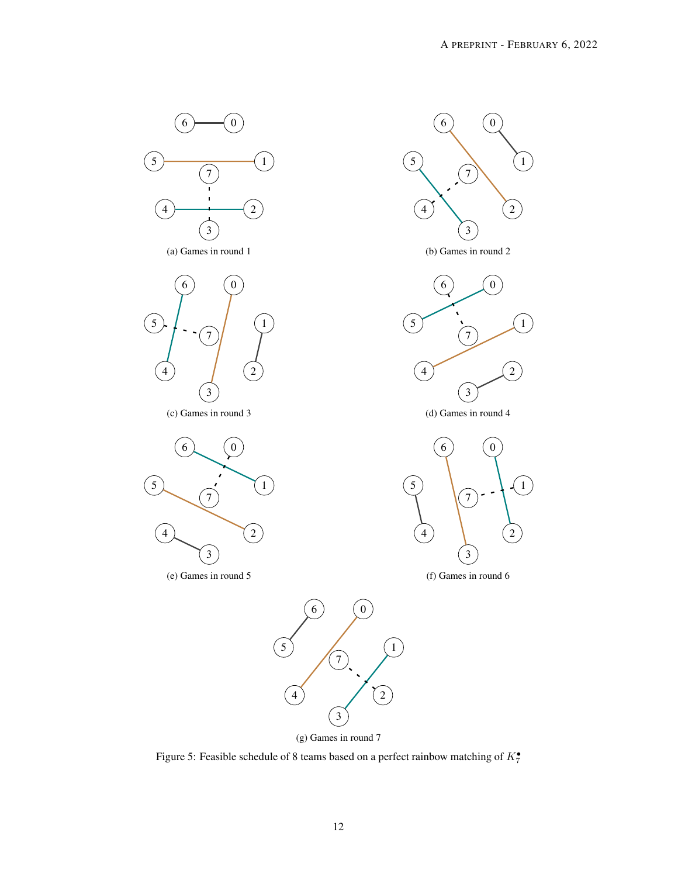<span id="page-11-0"></span>

Figure 5: Feasible schedule of 8 teams based on a perfect rainbow matching of  $K_7^{\bullet}$